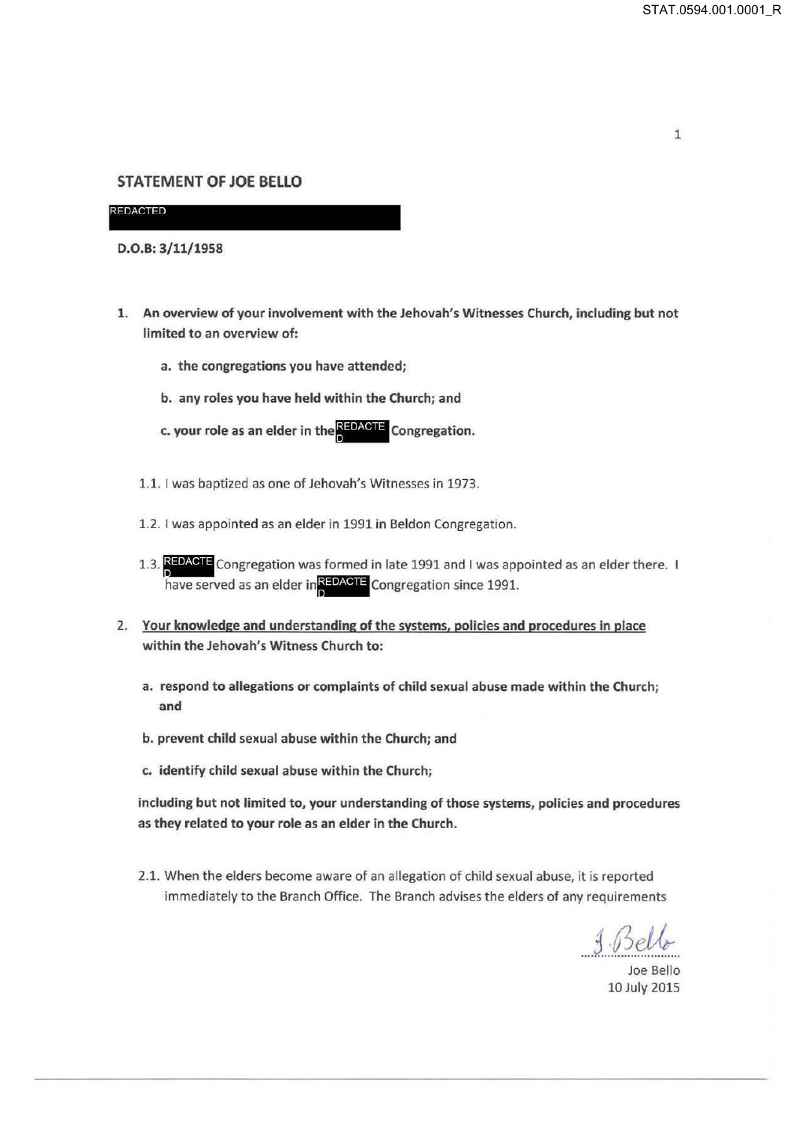## 1

## STATEMENT OF JOE BELLO

**REDACTED** 

D.0.8:3/11/1958

- 1. An overview of your involvement with the Jehovah's Witnesses Church, including but not limited to an overview of:
	- a. the congregations you have attended;
	- b. any roles you have held within the Church; and
	- c. your role as an elder in the REDACTE Congregation.
	- 1.1. I was baptized as one of Jehovah's Witnesses in 1973.
	- 1.2. I was appointed as an elder in 1991 in Beldon Congregation.
	- 1.3. REDACTE Congregation was formed in late 1991 and I was appointed as an elder there. I have served as an elder in REDACTE Congregation since 1991.
- 2. Your knowledge and understanding of the systems, policies and procedures in place within the Jehovah's Witness Church to:
	- a. respond to allegations or complaints of child sexual abuse made within the Church; and
	- b. prevent child sexual abuse within the Church; and
	- c. identify child sexual abuse within the Church;

including but not limited to, your understanding of those systems, policies and procedures as they related to your role as an elder in the Church.

2.1. When the elders become aware of an allegation of child sexual abuse, it is reported immediately to the Branch Office. The Branch advises the elders of any requirements

*.... 5..:.8..P/& ..* Joe Bello

10 July 2015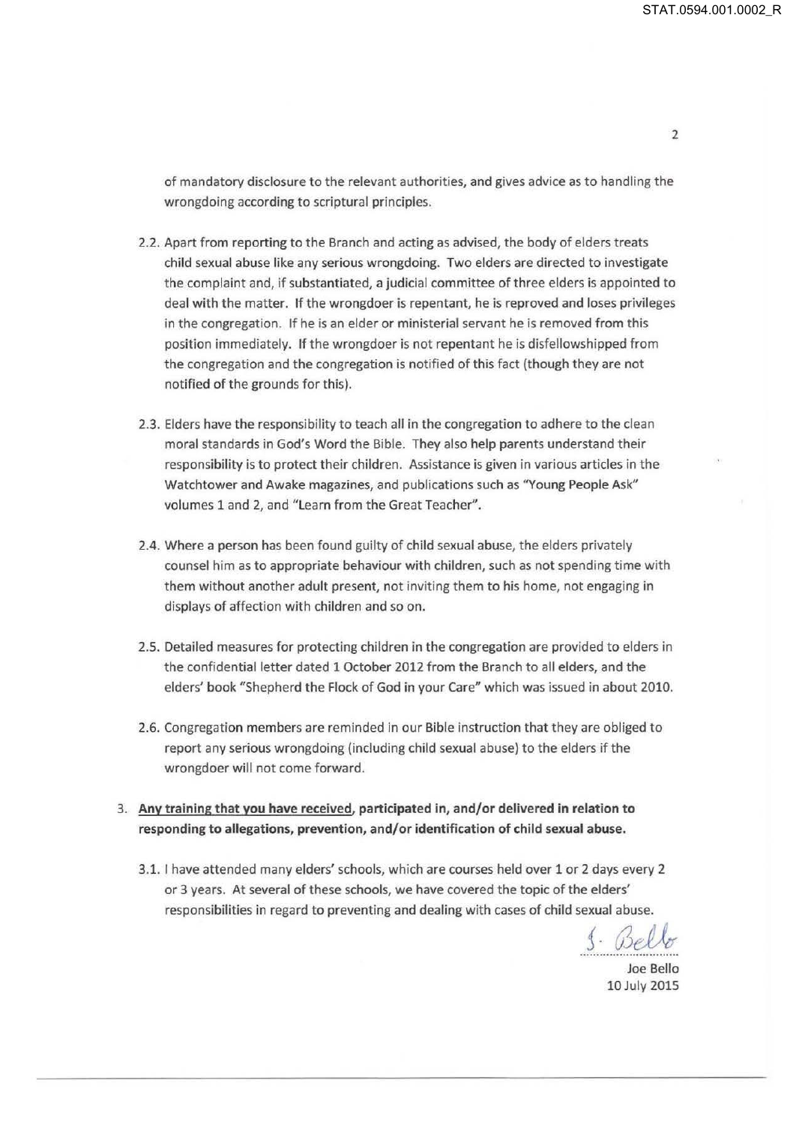of mandatory disclosure to the relevant authorities, and gives advice as to handling the wrongdoing according to scriptural principles.

- 2.2. Apart from reporting to the Branch and acting as advised, the body of elders treats child sexual abuse like any serious wrongdoing. Two elders are directed to investigate the complaint and, if substantiated, a judicial committee of three elders is appointed to deal with the matter. If the wrongdoer is repentant, he is reproved and loses privileges in the congregation. If he is an elder or ministerial servant he is removed from this position immediately. If the wrongdoer is not repentant he is disfellowshipped from the congregation and the congregation is notified of this fact (though they are not notified of the grounds for this).
- 2.3. Elders have the responsibility to teach all in the congregation to adhere to the clean moral standards in God's Word the Bible. They also help parents understand their responsibility is to protect their children. Assistance is given in various articles in the Watchtower and Awake magazines, and publications such as "Young People Ask" volumes 1 and 2, and "Learn from the Great Teacher".
- 2.4. Where a person has been found guilty of child sexual abuse, the elders privately counsel him as to appropriate behaviour with children, such as not spending time with them without another adult present, not inviting them to his home, not engaging in displays of affection with children and so on.
- 2.5. Detailed measures for protecting children in the congregation are provided to elders in the confidential letter dated 1 October 2012 from the Branch to all elders, and the elders' book "Shepherd the Flock of God in your Care" which was issued in about 2010.
- 2.6. Congregation members are reminded in our Bible instruction that they are obliged to report any serious wrongdoing (including child sexual abuse) to the elders if the wrongdoer will not come forward.
- 3. **Any training that you have received, participated in, and/or delivered in relation to responding to allegations, prevention, and/or identification of child sexual abuse.** 
	- 3.1. I have attended many elders' schools, which are courses held over 1 or 2 days every 2 or 3 years. At several of these schools, we have covered the topic of the elders' responsibilities in regard to preventing and dealing with cases of child sexual abuse.

<u>S.</u> Bello

Joe Bello lOJuly 2015

2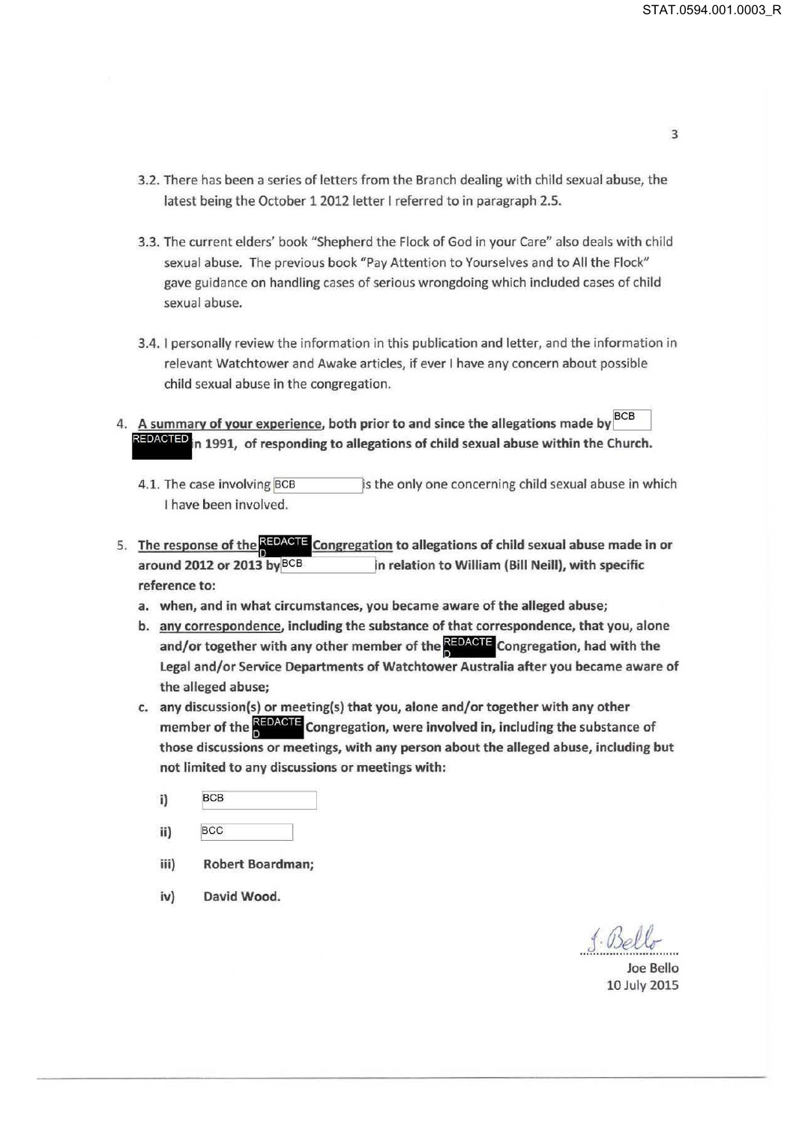- 3.2. There has been a series of letters from the Branch dealing with child sexual abuse, the latest being the October 1 2012 letter I referred to in paragraph 2.5.
- 3.3. The current elders' book "Shepherd the Flock of God in your Care" also deals with child sexual abuse. The previous book "Pay Attention to Yourselves and to All the Flock" gave guidance on handling cases of serious wrongdoing which included cases of child sexual abuse.
- 3.4. I personally review the information in this publication and letter, and the information in relevant Watchtower and Awake articles, if ever I have any concern about possible child sexual abuse in the congregation.
- 4. A summary of your experience, both prior to and since the allegations made by  $^{BCB}$ relevant Watchtower and Awake articles, if ever I have any concern about possible<br>child sexual abuse in the congregation.<br>A summary of your experience, both prior to and since the allegations made by  $\frac{BCB}{REDACIED}$  in 1991,
	- 4.1. The case involving BCB **and is the only one concerning child sexual abuse in which** I have been involved.
- 5. The res onse of the '· re ation to allegations of child sexual abuse made in or I around 2012 or 2013 byjBCB ..\_ \_\_\_\_ \_. n relation to William {Bill Neill), with specific reference to:
	- a. when, and in what circumstances, you became aware of the alleged abuse;
	- b. any correspondence, including the substance of that correspondence, that you, alone and/or together with any other member of the **REDACTE** Congregation, had with the Legal and/or Service Departments of Watchtower Australia after you became aware of the alleged abuse;
	- c. any discussion(s) or meeting(s) that you, alone and/or together with any other member of the **NEDACTE** Congregation, were involved in, including the substance of those discussions or meetings, with any person about the alleged abuse, including but not limited to any discussions or meetings with:
		- i) BCB
		- ii) BCC
		- iii) Robert Boardman;
		- iv) David Wood.

. ..f. .. @~ *.....* 

Joe Bello 10 July 2015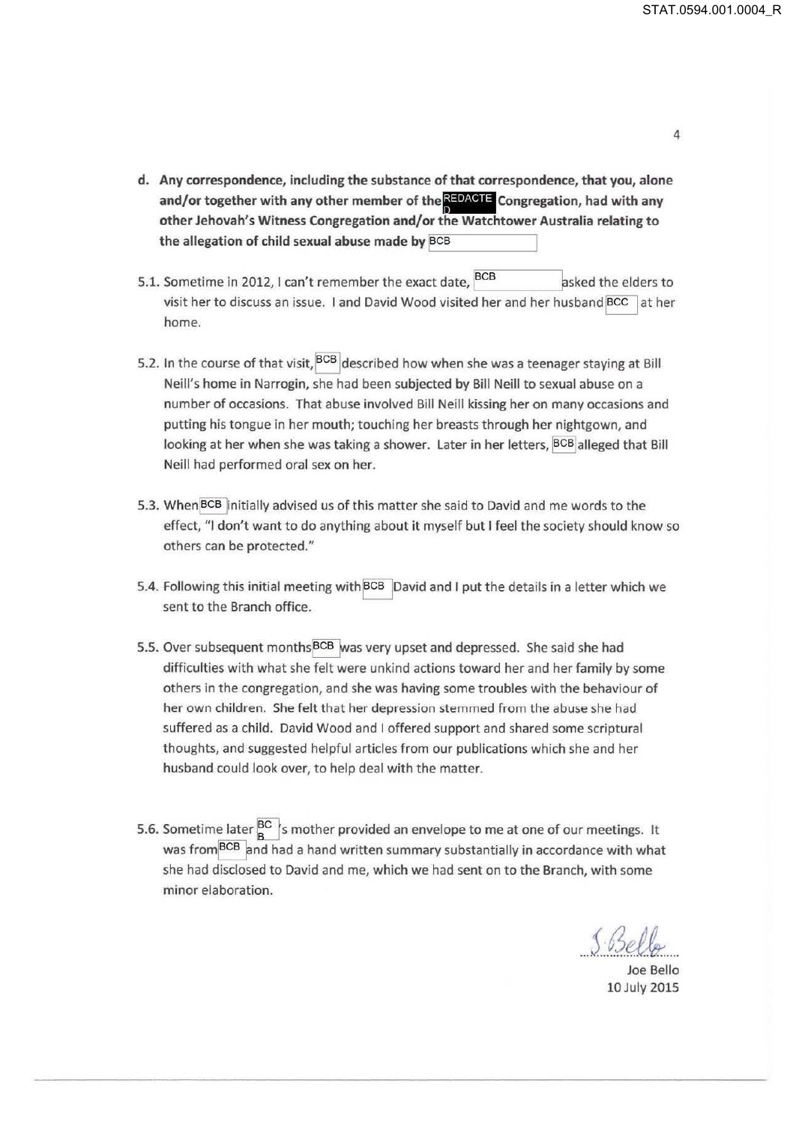- d. Any correspondence, including the substance of that correspondence, that you, alone and/or together with any other member of the **REDACTE** Congregation, had with any other Jehovah's Witness Congregation and/or the Watchtower Australia relating to<br>the allegation of child sexual abuse made by <mark>BCB</mark> the allegation of child sexual abuse made by BCB
- 5.1. Sometime in 2012, I can't remember the exact date, BCB asked the elders to visit her to discuss an issue. I and David Wood visited her and her husband BCC at her home.
- 5.2. In the course of that visit, BCB described how when she was a teenager staying at Bill Neill's home in Narrogin, she had been subjected by Bill Neill to sexual abuse on a number of occasions. That abuse involved Bill Neill kissing her on many occasions and putting his tongue in her mouth; touching her breasts through her nightgown, and looking at her when she was taking a shower. Later in her letters, BCB alleged that Bill Neill had performed oral sex on her.
- 5.3. When BCB initially advised us of this matter she said to David and me words to the effect, "I don't want to do anything about it myself but I feel the society should know so others can be protected."
- 5.4. Following this initial meeting with BCB David and I put the details in a letter which we sent to the Branch office.
- 5.5. Over subsequent months<sup>BCB</sup> was very upset and depressed. She said she had difficulties with what she felt were unkind actions toward her and her family by some others in the congregation, and she was having some troubles with the behaviour of her own children. She felt that her depression stemmed from the abuse she had suffered as a child. David Wood and I offered support and shared some scriptural thoughts, and suggested helpful articles from our publications which she and her husband could look over, to help deal with the matter.
- 5.6. Sometime later  $^{BC}_{B}$ 's mother provided an envelope to me at one of our meetings. It was from<sup>BCB</sup> and had a hand written summary substantially in accordance with what she had disclosed to David and me, which we had sent on to the Branch, with some minor elaboration.

*{ 13t? 1.1/l* ... J. ........ ~ ... . Joe Bello

10 July 2015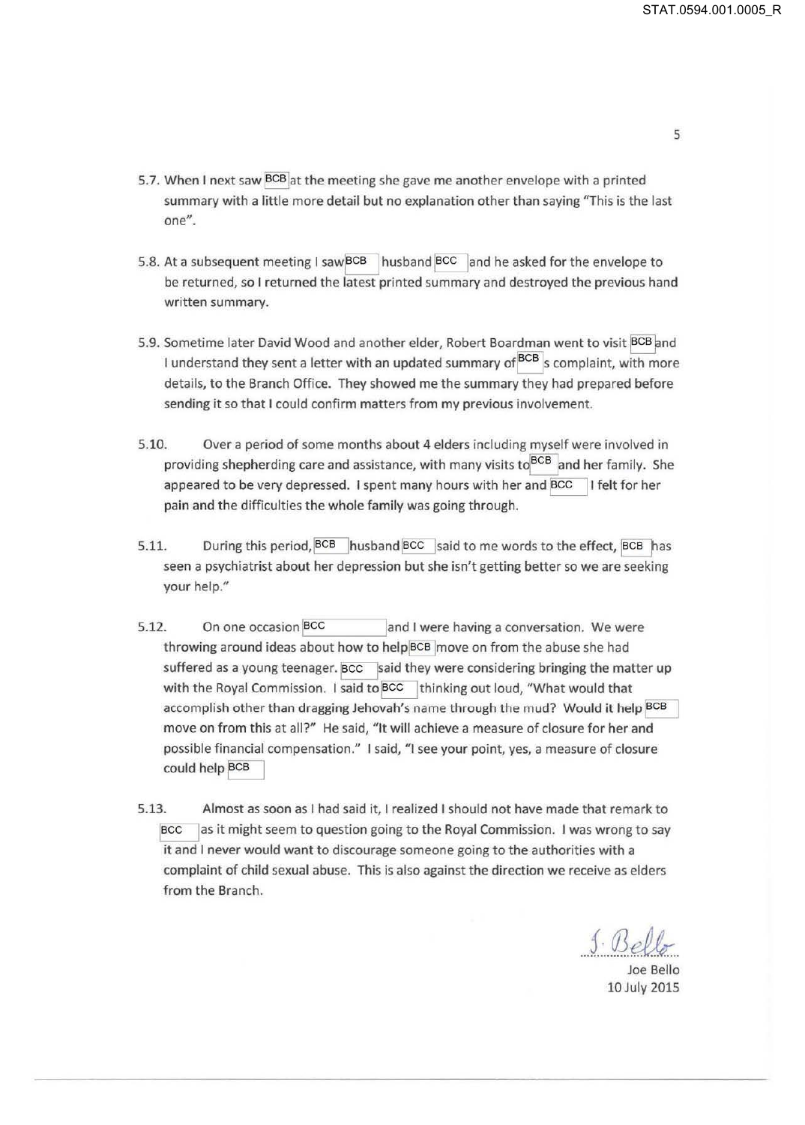- 5.7. When I next saw BCB at the meeting she gave me another envelope with a printed summary with a little more detail but no explanation other than saying "This is the last one".
- 5.8. At a subsequent meeting I saw  $\overline{BCB}$  husband  $\overline{BCC}$  and he asked for the envelope to be returned, so I returned the latest printed summary and destroyed the previous hand written summary.
- 5.9. Sometime later David Wood and another elder, Robert Boardman went to visit BCB and I understand they sent a letter with an updated summary of BCB s complaint, with more details, to the Branch Office. They showed me the summary they had prepared before sending it so that I could confirm matters from my previous involvement.
- 5.10. Over a period of some months about 4 elders including myself were involved in providing shepherding care and assistance, with many visits to BCB and her family. She appeared to be very depressed. I spent many hours with her and BCC I felt for her pain and the difficulties the whole family was going through.
- 5.11. During this period, BCB husband BCC said to me words to the effect, BCB has seen a psychiatrist about her depression but she isn't getting better so we are seeking your help."
- 5.12. On one occasion BCC and I were having a conversation. We were throwing around ideas about how to helpBCB move on from the abuse she had suffered as a young teenager. BCC said they were considering bringing the matter up with the Royal Commission. I said to  $\overline{BCC}$  thinking out loud, "What would that accomplish other than dragging Jehovah's name through the mud? Would it help BCB move on from this at all?" He said, "It will achieve a measure of closure for her and possible financial compensation." I said, "I see your point, yes, a measure of closure could help BCB
- 5.13. Almost as soon as I had said it, I realized I should not have made that remark to ~as it might seem to question going to the Royal Commission. I was wrong to say it and I never would want to discourage someone going to the authorities with a complaint of child sexual abuse. This is also against the direction we receive as elders from the Branch.

*f.03* ~/} ............... ~ ..

Joe Bello 10 July 2015

5